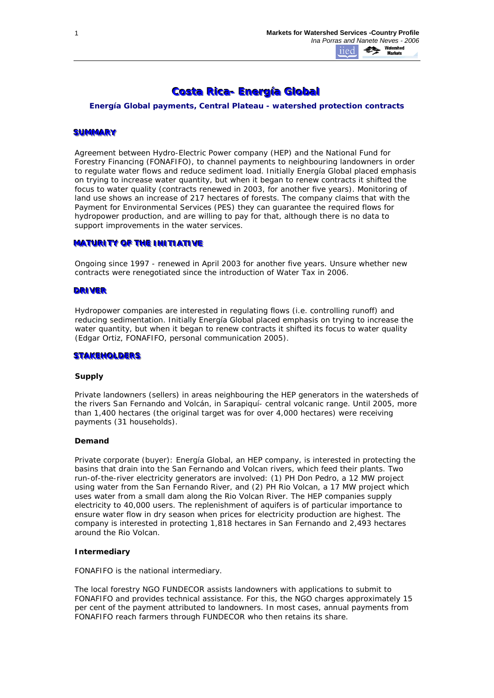# **Costa Rica- Energía Global**

*Energía Global payments, Central Plateau - watershed protection contracts*

#### **SUMMARY**

Agreement between Hydro-Electric Power company (HEP) and the National Fund for Forestry Financing (FONAFIFO), to channel payments to neighbouring landowners in order to regulate water flows and reduce sediment load. Initially Energía Global placed emphasis on trying to increase water quantity, but when it began to renew contracts it shifted the focus to water quality (contracts renewed in 2003, for another five years). Monitoring of land use shows an increase of 217 hectares of forests. The company claims that with the Payment for Environmental Services (PES) they can guarantee the required flows for hydropower production, and are willing to pay for that, although there is no data to support improvements in the water services.

## **MATURITY OF THE INITIATIVE**

Ongoing since 1997 - renewed in April 2003 for another five years. Unsure whether new contracts were renegotiated since the introduction of Water Tax in 2006.

#### **DRIVER**

Hydropower companies are interested in regulating flows (i.e. controlling runoff) and reducing sedimentation. Initially Energía Global placed emphasis on trying to increase the water quantity, but when it began to renew contracts it shifted its focus to water quality (Edgar Ortiz, FONAFIFO, personal communication 2005).

#### **STAKEHOLDERS**

#### **Supply**

*Private landowners (sellers)* in areas neighbouring the HEP generators in the watersheds of the rivers San Fernando and Volcán, in Sarapiquí- central volcanic range. Until 2005, more than 1,400 hectares (the original target was for over 4,000 hectares) were receiving payments (31 households).

#### **Demand**

*Private corporate (buyer):* Energía Global, an HEP company, is interested in protecting the basins that drain into the San Fernando and Volcan rivers, which feed their plants. Two run-of-the-river electricity generators are involved: (1) PH Don Pedro, a 12 MW project using water from the San Fernando River, and (2) PH Rio Volcan, a 17 MW project which uses water from a small dam along the Rio Volcan River. The HEP companies supply electricity to 40,000 users. The replenishment of aquifers is of particular importance to ensure water flow in dry season when prices for electricity production are highest. The company is interested in protecting 1,818 hectares in San Fernando and 2,493 hectares around the Rio Volcan.

#### **Intermediary**

FONAFIFO is the national intermediary.

The local forestry NGO FUNDECOR assists landowners with applications to submit to FONAFIFO and provides technical assistance. For this, the NGO charges approximately 15 per cent of the payment attributed to landowners. In most cases, annual payments from FONAFIFO reach farmers through FUNDECOR who then retains its share.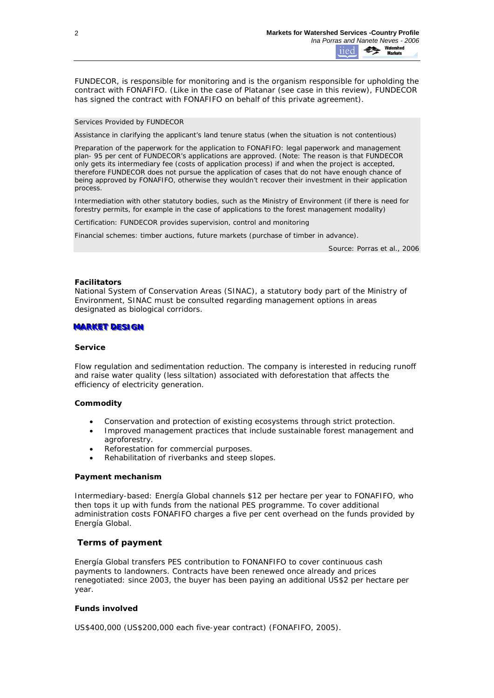FUNDECOR, is responsible for monitoring and is the organism responsible for upholding the contract with FONAFIFO. (Like in the case of Platanar (see case in this review), FUNDECOR has signed the contract with FONAFIFO on behalf of this private agreement).

## *Services Provided by FUNDECOR*

Assistance in clarifying the applicant's land tenure status (when the situation is not contentious)

Preparation of the paperwork for the application to FONAFIFO: legal paperwork and management plan- 95 per cent of FUNDECOR's applications are approved. (Note: The reason is that FUNDECOR only gets its intermediary fee (costs of application process) if and when the project is accepted, therefore FUNDECOR does not pursue the application of cases that do not have enough chance of being approved by FONAFIFO, otherwise they wouldn't recover their investment in their application process.

Intermediation with other statutory bodies, such as the Ministry of Environment (if there is need for forestry permits, for example in the case of applications to the forest management modality)

Certification: FUNDECOR provides supervision, control and monitoring

Financial schemes: timber auctions, future markets (purchase of timber in advance).

*Source: Porras et al., 2006*

#### **Facilitators**

National System of Conservation Areas (SINAC), a statutory body part of the Ministry of Environment, SINAC must be consulted regarding management options in areas designated as biological corridors.

#### **MARKET DESIGN**

#### **Service**

*Flow regulation and sedimentation reduction.* The company is interested in reducing runoff and raise water quality (less siltation) associated with deforestation that affects the efficiency of electricity generation.

#### **Commodity**

- *Conservation and protection of existing ecosystems* through strict protection.
- *Improved management practices* that include sustainable forest management and agroforestry.
- *Reforestation* for commercial purposes.
- *Rehabilitation* of riverbanks and steep slopes.

#### **Payment mechanism**

Intermediary-based: Energía Global channels \$12 per hectare per year to FONAFIFO, who then tops it up with funds from the national PES programme. To cover additional administration costs FONAFIFO charges a five per cent overhead on the funds provided by Energía Global.

# **Terms of payment**

Energía Global transfers PES contribution to FONANFIFO to cover continuous cash payments to landowners. Contracts have been renewed once already and prices renegotiated: since 2003, the buyer has been paying an additional US\$2 per hectare per year.

#### **Funds involved**

US\$400,000 (US\$200,000 each five-year contract) (FONAFIFO, 2005).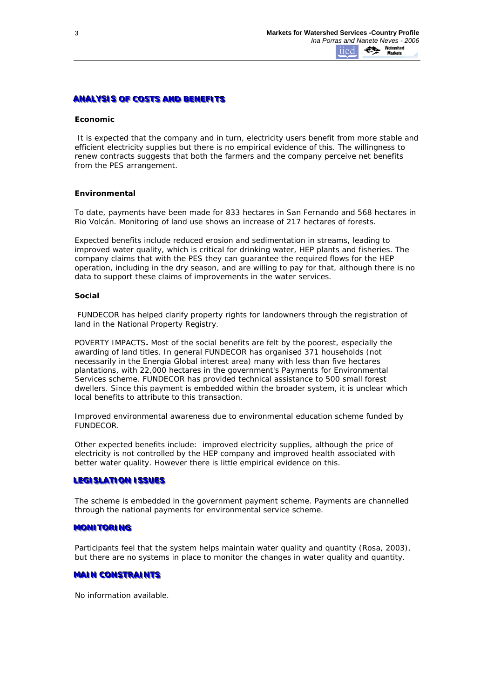# **ANALYSIS OF COSTS AND BENEFITS**

#### **Economic**

It is expected that the company and in turn, electricity users benefit from more stable and efficient electricity supplies but there is no empirical evidence of this. The willingness to renew contracts suggests that both the farmers and the company perceive net benefits from the PES arrangement.

## **Environmental**

To date, payments have been made for 833 hectares in San Fernando and 568 hectares in Rio Volcán. Monitoring of land use shows an increase of 217 hectares of forests.

Expected benefits include reduced erosion and sedimentation in streams, leading to improved water quality, which is critical for drinking water, HEP plants and fisheries. The company claims that with the PES they can guarantee the required flows for the HEP operation, including in the dry season, and are willing to pay for that, although there is no data to support these claims of improvements in the water services.

## **Social**

FUNDECOR has helped clarify property rights for landowners through the registration of land in the National Property Registry.

*POVERTY IMPACTS***.** Most of the social benefits are felt by the poorest, especially the awarding of land titles. In general FUNDECOR has organised 371 households (not necessarily in the Energía Global interest area) many with less than five hectares plantations, with 22,000 hectares in the government's Payments for Environmental Services scheme. FUNDECOR has provided technical assistance to 500 small forest dwellers. Since this payment is embedded within the broader system, it is unclear which local benefits to attribute to this transaction.

Improved environmental awareness due to environmental education scheme funded by FUNDECOR.

Other expected benefits include: improved electricity supplies, although the price of electricity is not controlled by the HEP company and improved health associated with better water quality. However there is little empirical evidence on this.

#### LEGISLATION ISSUES

The scheme is embedded in the government payment scheme. Payments are channelled through the national payments for environmental service scheme.

#### **MONITORING**

Participants *feel* that the system helps maintain water quality and quantity (Rosa, 2003), but there are no systems in place to monitor the changes in water quality and quantity.

# **MAIN CONSTRAINTS**

No information available.